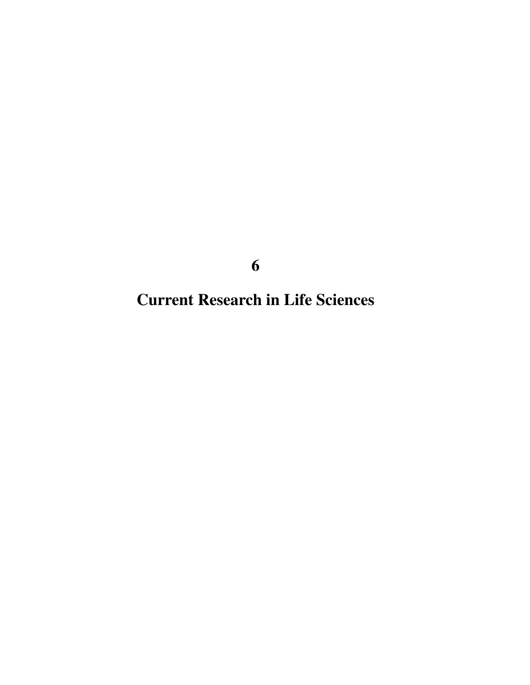**Current Research in Life Sciences**

**6**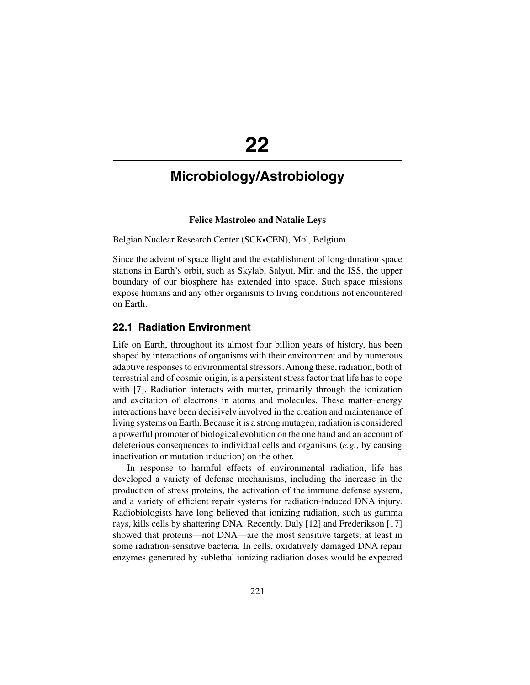# **22**

# **Microbiology/Astrobiology**

#### **Felice Mastroleo and Natalie Leys**

Belgian Nuclear Research Center (SCK·CEN), Mol, Belgium

Since the advent of space flight and the establishment of long-duration space stations in Earth's orbit, such as Skylab, Salyut, Mir, and the ISS, the upper boundary of our biosphere has extended into space. Such space missions expose humans and any other organisms to living conditions not encountered on Earth.

## **22.1 Radiation Environment**

Life on Earth, throughout its almost four billion years of history, has been shaped by interactions of organisms with their environment and by numerous adaptive responses to environmental stressors.Among these, radiation, both of terrestrial and of cosmic origin, is a persistent stress factor that life has to cope with [7]. Radiation interacts with matter, primarily through the ionization and excitation of electrons in atoms and molecules. These matter–energy interactions have been decisively involved in the creation and maintenance of living systems on Earth. Because it is a strong mutagen, radiation is considered a powerful promoter of biological evolution on the one hand and an account of deleterious consequences to individual cells and organisms (*e.g.*, by causing inactivation or mutation induction) on the other.

In response to harmful effects of environmental radiation, life has developed a variety of defense mechanisms, including the increase in the production of stress proteins, the activation of the immune defense system, and a variety of efficient repair systems for radiation-induced DNA injury. Radiobiologists have long believed that ionizing radiation, such as gamma rays, kills cells by shattering DNA. Recently, Daly [12] and Frederikson [17] showed that proteins—not DNA—are the most sensitive targets, at least in some radiation-sensitive bacteria. In cells, oxidatively damaged DNA repair enzymes generated by sublethal ionizing radiation doses would be expected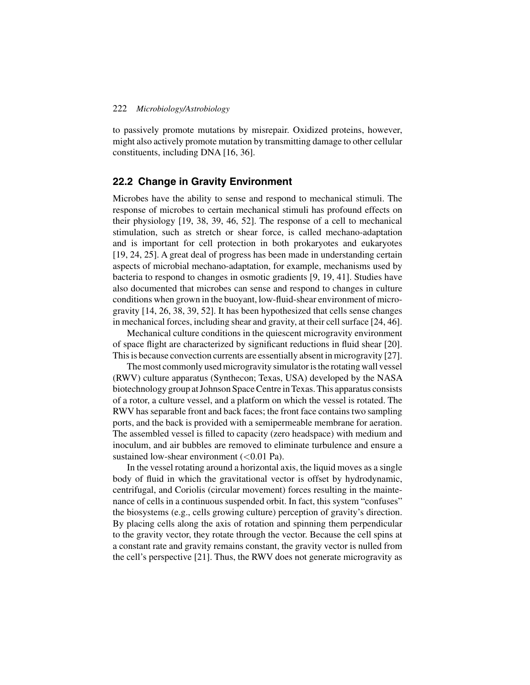to passively promote mutations by misrepair. Oxidized proteins, however, might also actively promote mutation by transmitting damage to other cellular constituents, including DNA [16, 36].

## **22.2 Change in Gravity Environment**

Microbes have the ability to sense and respond to mechanical stimuli. The response of microbes to certain mechanical stimuli has profound effects on their physiology [19, 38, 39, 46, 52]. The response of a cell to mechanical stimulation, such as stretch or shear force, is called mechano-adaptation and is important for cell protection in both prokaryotes and eukaryotes [19, 24, 25]. A great deal of progress has been made in understanding certain aspects of microbial mechano-adaptation, for example, mechanisms used by bacteria to respond to changes in osmotic gradients [9, 19, 41]. Studies have also documented that microbes can sense and respond to changes in culture conditions when grown in the buoyant, low-fluid-shear environment of microgravity [14, 26, 38, 39, 52]. It has been hypothesized that cells sense changes in mechanical forces, including shear and gravity, at their cell surface [24, 46].

Mechanical culture conditions in the quiescent microgravity environment of space flight are characterized by significant reductions in fluid shear [20]. This is because convection currents are essentially absent in microgravity [27].

The most commonly used microgravity simulator is the rotating wall vessel (RWV) culture apparatus (Synthecon; Texas, USA) developed by the NASA biotechnology group at Johnson Space Centre in Texas. This apparatus consists of a rotor, a culture vessel, and a platform on which the vessel is rotated. The RWV has separable front and back faces; the front face contains two sampling ports, and the back is provided with a semipermeable membrane for aeration. The assembled vessel is filled to capacity (zero headspace) with medium and inoculum, and air bubbles are removed to eliminate turbulence and ensure a sustained low-shear environment  $(<0.01$  Pa).

In the vessel rotating around a horizontal axis, the liquid moves as a single body of fluid in which the gravitational vector is offset by hydrodynamic, centrifugal, and Coriolis (circular movement) forces resulting in the maintenance of cells in a continuous suspended orbit. In fact, this system "confuses" the biosystems (e.g., cells growing culture) perception of gravity's direction. By placing cells along the axis of rotation and spinning them perpendicular to the gravity vector, they rotate through the vector. Because the cell spins at a constant rate and gravity remains constant, the gravity vector is nulled from the cell's perspective [21]. Thus, the RWV does not generate microgravity as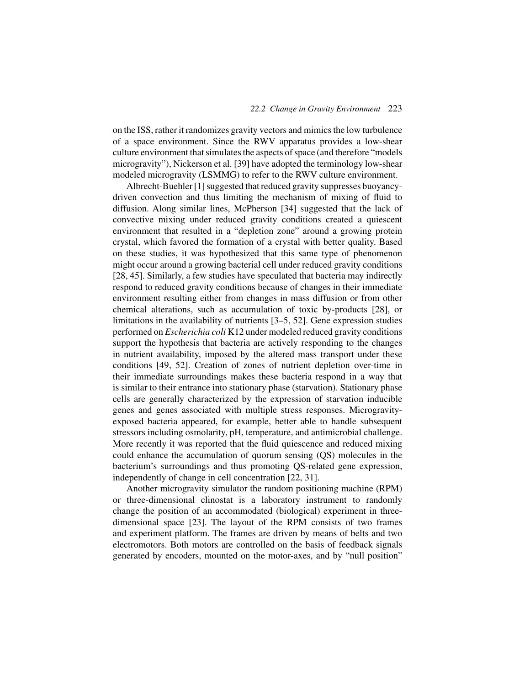on the ISS, rather it randomizes gravity vectors and mimics the low turbulence of a space environment. Since the RWV apparatus provides a low-shear culture environment that simulates the aspects of space (and therefore "models microgravity"), Nickerson et al. [39] have adopted the terminology low-shear modeled microgravity (LSMMG) to refer to the RWV culture environment.

Albrecht-Buehler [1] suggested that reduced gravity suppresses buoyancydriven convection and thus limiting the mechanism of mixing of fluid to diffusion. Along similar lines, McPherson [34] suggested that the lack of convective mixing under reduced gravity conditions created a quiescent environment that resulted in a "depletion zone" around a growing protein crystal, which favored the formation of a crystal with better quality. Based on these studies, it was hypothesized that this same type of phenomenon might occur around a growing bacterial cell under reduced gravity conditions [28, 45]. Similarly, a few studies have speculated that bacteria may indirectly respond to reduced gravity conditions because of changes in their immediate environment resulting either from changes in mass diffusion or from other chemical alterations, such as accumulation of toxic by-products [28], or limitations in the availability of nutrients [3–5, 52]. Gene expression studies performed on *Escherichia coli* K12 under modeled reduced gravity conditions support the hypothesis that bacteria are actively responding to the changes in nutrient availability, imposed by the altered mass transport under these conditions [49, 52]. Creation of zones of nutrient depletion over-time in their immediate surroundings makes these bacteria respond in a way that is similar to their entrance into stationary phase (starvation). Stationary phase cells are generally characterized by the expression of starvation inducible genes and genes associated with multiple stress responses. Microgravityexposed bacteria appeared, for example, better able to handle subsequent stressors including osmolarity, pH, temperature, and antimicrobial challenge. More recently it was reported that the fluid quiescence and reduced mixing could enhance the accumulation of quorum sensing (QS) molecules in the bacterium's surroundings and thus promoting QS-related gene expression, independently of change in cell concentration [22, 31].

Another microgravity simulator the random positioning machine (RPM) or three-dimensional clinostat is a laboratory instrument to randomly change the position of an accommodated (biological) experiment in threedimensional space [23]. The layout of the RPM consists of two frames and experiment platform. The frames are driven by means of belts and two electromotors. Both motors are controlled on the basis of feedback signals generated by encoders, mounted on the motor-axes, and by "null position"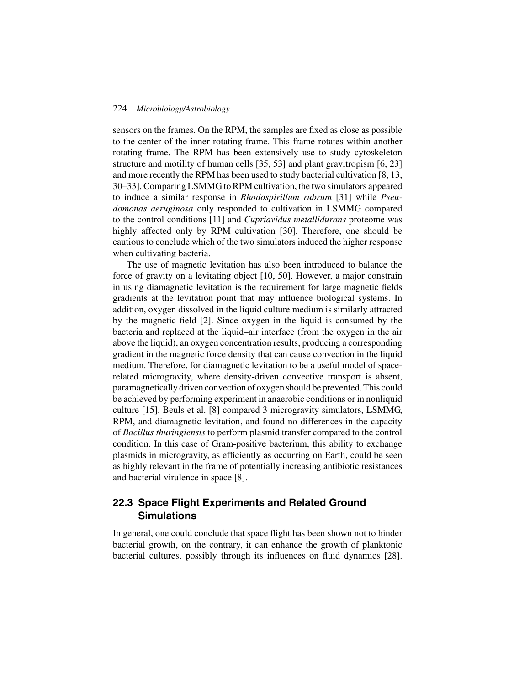sensors on the frames. On the RPM, the samples are fixed as close as possible to the center of the inner rotating frame. This frame rotates within another rotating frame. The RPM has been extensively use to study cytoskeleton structure and motility of human cells [35, 53] and plant gravitropism [6, 23] and more recently the RPM has been used to study bacterial cultivation [8, 13, 30–33]. Comparing LSMMG to RPM cultivation, the two simulators appeared to induce a similar response in *Rhodospirillum rubrum* [31] while *Pseudomonas aeruginosa* only responded to cultivation in LSMMG compared to the control conditions [11] and *Cupriavidus metallidurans* proteome was highly affected only by RPM cultivation [30]. Therefore, one should be cautious to conclude which of the two simulators induced the higher response when cultivating bacteria.

The use of magnetic levitation has also been introduced to balance the force of gravity on a levitating object [10, 50]. However, a major constrain in using diamagnetic levitation is the requirement for large magnetic fields gradients at the levitation point that may influence biological systems. In addition, oxygen dissolved in the liquid culture medium is similarly attracted by the magnetic field [2]. Since oxygen in the liquid is consumed by the bacteria and replaced at the liquid–air interface (from the oxygen in the air above the liquid), an oxygen concentration results, producing a corresponding gradient in the magnetic force density that can cause convection in the liquid medium. Therefore, for diamagnetic levitation to be a useful model of spacerelated microgravity, where density-driven convective transport is absent, paramagnetically driven convection of oxygen should be prevented. This could be achieved by performing experiment in anaerobic conditions or in nonliquid culture [15]. Beuls et al. [8] compared 3 microgravity simulators, LSMMG, RPM, and diamagnetic levitation, and found no differences in the capacity of *Bacillus thuringiensis* to perform plasmid transfer compared to the control condition. In this case of Gram-positive bacterium, this ability to exchange plasmids in microgravity, as efficiently as occurring on Earth, could be seen as highly relevant in the frame of potentially increasing antibiotic resistances and bacterial virulence in space [8].

# **22.3 Space Flight Experiments and Related Ground Simulations**

In general, one could conclude that space flight has been shown not to hinder bacterial growth, on the contrary, it can enhance the growth of planktonic bacterial cultures, possibly through its influences on fluid dynamics [28].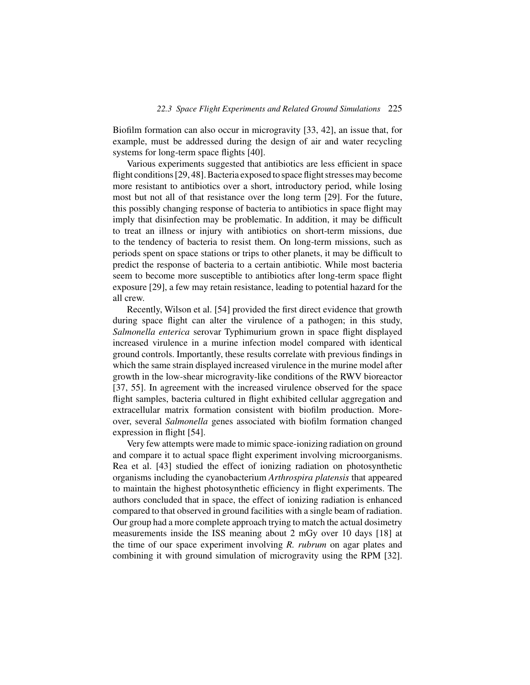Biofilm formation can also occur in microgravity [33, 42], an issue that, for example, must be addressed during the design of air and water recycling systems for long-term space flights [40].

Various experiments suggested that antibiotics are less efficient in space flight conditions [29, 48]. Bacteria exposed to space flight stresses may become more resistant to antibiotics over a short, introductory period, while losing most but not all of that resistance over the long term [29]. For the future, this possibly changing response of bacteria to antibiotics in space flight may imply that disinfection may be problematic. In addition, it may be difficult to treat an illness or injury with antibiotics on short-term missions, due to the tendency of bacteria to resist them. On long-term missions, such as periods spent on space stations or trips to other planets, it may be difficult to predict the response of bacteria to a certain antibiotic. While most bacteria seem to become more susceptible to antibiotics after long-term space flight exposure [29], a few may retain resistance, leading to potential hazard for the all crew.

Recently, Wilson et al. [54] provided the first direct evidence that growth during space flight can alter the virulence of a pathogen; in this study, *Salmonella enterica* serovar Typhimurium grown in space flight displayed increased virulence in a murine infection model compared with identical ground controls. Importantly, these results correlate with previous findings in which the same strain displayed increased virulence in the murine model after growth in the low-shear microgravity-like conditions of the RWV bioreactor [37, 55]. In agreement with the increased virulence observed for the space flight samples, bacteria cultured in flight exhibited cellular aggregation and extracellular matrix formation consistent with biofilm production. Moreover, several *Salmonella* genes associated with biofilm formation changed expression in flight [54].

Very few attempts were made to mimic space-ionizing radiation on ground and compare it to actual space flight experiment involving microorganisms. Rea et al. [43] studied the effect of ionizing radiation on photosynthetic organisms including the cyanobacterium *Arthrospira platensis* that appeared to maintain the highest photosynthetic efficiency in flight experiments. The authors concluded that in space, the effect of ionizing radiation is enhanced compared to that observed in ground facilities with a single beam of radiation. Our group had a more complete approach trying to match the actual dosimetry measurements inside the ISS meaning about 2 mGy over 10 days [18] at the time of our space experiment involving *R. rubrum* on agar plates and combining it with ground simulation of microgravity using the RPM [32].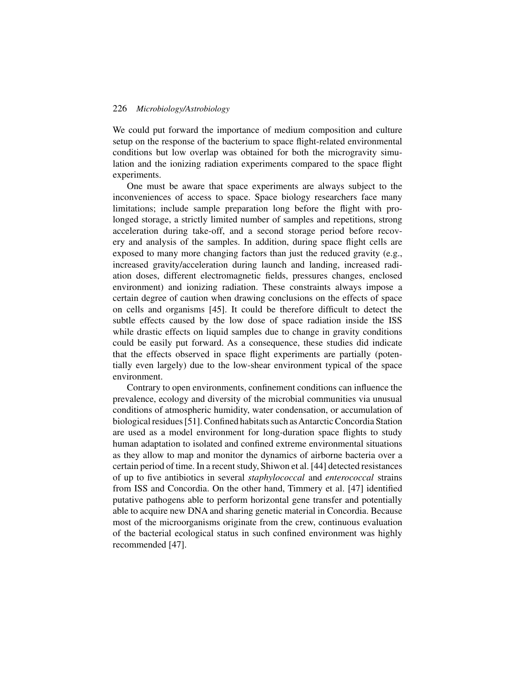We could put forward the importance of medium composition and culture setup on the response of the bacterium to space flight-related environmental conditions but low overlap was obtained for both the microgravity simulation and the ionizing radiation experiments compared to the space flight experiments.

One must be aware that space experiments are always subject to the inconveniences of access to space. Space biology researchers face many limitations; include sample preparation long before the flight with prolonged storage, a strictly limited number of samples and repetitions, strong acceleration during take-off, and a second storage period before recovery and analysis of the samples. In addition, during space flight cells are exposed to many more changing factors than just the reduced gravity (e.g., increased gravity/acceleration during launch and landing, increased radiation doses, different electromagnetic fields, pressures changes, enclosed environment) and ionizing radiation. These constraints always impose a certain degree of caution when drawing conclusions on the effects of space on cells and organisms [45]. It could be therefore difficult to detect the subtle effects caused by the low dose of space radiation inside the ISS while drastic effects on liquid samples due to change in gravity conditions could be easily put forward. As a consequence, these studies did indicate that the effects observed in space flight experiments are partially (potentially even largely) due to the low-shear environment typical of the space environment.

Contrary to open environments, confinement conditions can influence the prevalence, ecology and diversity of the microbial communities via unusual conditions of atmospheric humidity, water condensation, or accumulation of biological residues [51]. Confined habitats such as Antarctic Concordia Station are used as a model environment for long-duration space flights to study human adaptation to isolated and confined extreme environmental situations as they allow to map and monitor the dynamics of airborne bacteria over a certain period of time. In a recent study, Shiwon et al. [44] detected resistances of up to five antibiotics in several *staphylococcal* and *enterococcal* strains from ISS and Concordia. On the other hand, Timmery et al. [47] identified putative pathogens able to perform horizontal gene transfer and potentially able to acquire new DNA and sharing genetic material in Concordia. Because most of the microorganisms originate from the crew, continuous evaluation of the bacterial ecological status in such confined environment was highly recommended [47].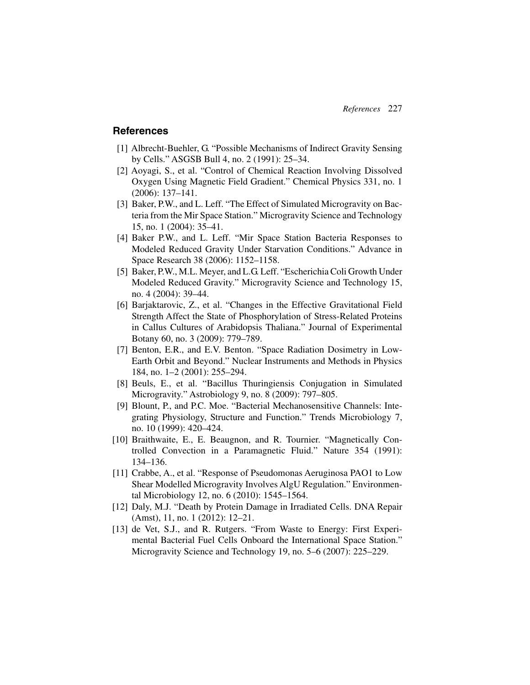# **References**

- [1] Albrecht-Buehler, G. "Possible Mechanisms of Indirect Gravity Sensing by Cells." ASGSB Bull 4, no. 2 (1991): 25–34.
- [2] Aoyagi, S., et al. "Control of Chemical Reaction Involving Dissolved Oxygen Using Magnetic Field Gradient." Chemical Physics 331, no. 1 (2006): 137–141.
- [3] Baker, P.W., and L. Leff. "The Effect of Simulated Microgravity on Bacteria from the Mir Space Station." Microgravity Science and Technology 15, no. 1 (2004): 35–41.
- [4] Baker P.W., and L. Leff. "Mir Space Station Bacteria Responses to Modeled Reduced Gravity Under Starvation Conditions." Advance in Space Research 38 (2006): 1152–1158.
- [5] Baker, P.W., M.L. Meyer, and L.G. Leff. "Escherichia Coli Growth Under Modeled Reduced Gravity." Microgravity Science and Technology 15, no. 4 (2004): 39–44.
- [6] Barjaktarovic, Z., et al. "Changes in the Effective Gravitational Field Strength Affect the State of Phosphorylation of Stress-Related Proteins in Callus Cultures of Arabidopsis Thaliana." Journal of Experimental Botany 60, no. 3 (2009): 779–789.
- [7] Benton, E.R., and E.V. Benton. "Space Radiation Dosimetry in Low-Earth Orbit and Beyond." Nuclear Instruments and Methods in Physics 184, no. 1–2 (2001): 255–294.
- [8] Beuls, E., et al. "Bacillus Thuringiensis Conjugation in Simulated Microgravity." Astrobiology 9, no. 8 (2009): 797–805.
- [9] Blount, P., and P.C. Moe. "Bacterial Mechanosensitive Channels: Integrating Physiology, Structure and Function." Trends Microbiology 7, no. 10 (1999): 420–424.
- [10] Braithwaite, E., E. Beaugnon, and R. Tournier. "Magnetically Controlled Convection in a Paramagnetic Fluid." Nature 354 (1991): 134–136.
- [11] Crabbe, A., et al. "Response of Pseudomonas Aeruginosa PAO1 to Low Shear Modelled Microgravity Involves AlgU Regulation." Environmental Microbiology 12, no. 6 (2010): 1545–1564.
- [12] Daly, M.J. "Death by Protein Damage in Irradiated Cells. DNA Repair (Amst), 11, no. 1 (2012): 12–21.
- [13] de Vet, S.J., and R. Rutgers. "From Waste to Energy: First Experimental Bacterial Fuel Cells Onboard the International Space Station." Microgravity Science and Technology 19, no. 5–6 (2007): 225–229.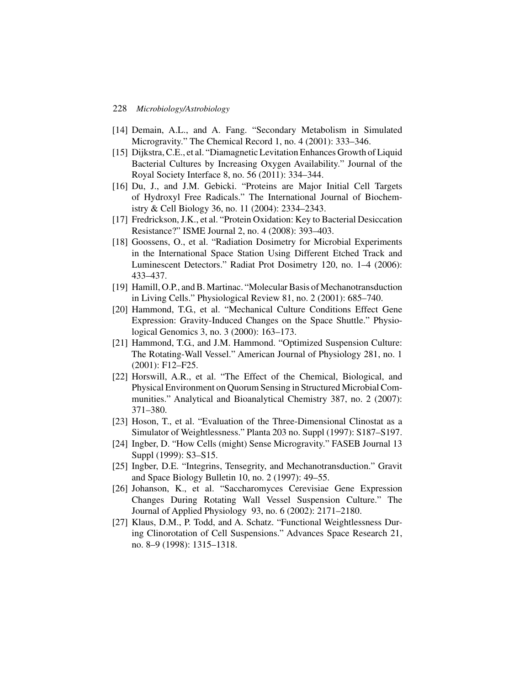- [14] Demain, A.L., and A. Fang. "Secondary Metabolism in Simulated Microgravity." The Chemical Record 1, no. 4 (2001): 333–346.
- [15] Dijkstra, C.E., et al. "Diamagnetic Levitation Enhances Growth of Liquid Bacterial Cultures by Increasing Oxygen Availability." Journal of the Royal Society Interface 8, no. 56 (2011): 334–344.
- [16] Du, J., and J.M. Gebicki. "Proteins are Major Initial Cell Targets of Hydroxyl Free Radicals." The International Journal of Biochemistry & Cell Biology 36, no. 11 (2004): 2334–2343.
- [17] Fredrickson, J.K., et al. "Protein Oxidation: Key to Bacterial Desiccation Resistance?" ISME Journal 2, no. 4 (2008): 393–403.
- [18] Goossens, O., et al. "Radiation Dosimetry for Microbial Experiments in the International Space Station Using Different Etched Track and Luminescent Detectors." Radiat Prot Dosimetry 120, no. 1–4 (2006): 433–437.
- [19] Hamill, O.P., and B. Martinac. "Molecular Basis of Mechanotransduction in Living Cells." Physiological Review 81, no. 2 (2001): 685–740.
- [20] Hammond, T.G., et al. "Mechanical Culture Conditions Effect Gene Expression: Gravity-Induced Changes on the Space Shuttle." Physiological Genomics 3, no. 3 (2000): 163–173.
- [21] Hammond, T.G., and J.M. Hammond. "Optimized Suspension Culture: The Rotating-Wall Vessel." American Journal of Physiology 281, no. 1 (2001): F12–F25.
- [22] Horswill, A.R., et al. "The Effect of the Chemical, Biological, and Physical Environment on Quorum Sensing in Structured Microbial Communities." Analytical and Bioanalytical Chemistry 387, no. 2 (2007): 371–380.
- [23] Hoson, T., et al. "Evaluation of the Three-Dimensional Clinostat as a Simulator of Weightlessness." Planta 203 no. Suppl (1997): S187–S197.
- [24] Ingber, D. "How Cells (might) Sense Microgravity." FASEB Journal 13 Suppl (1999): S3–S15.
- [25] Ingber, D.E. "Integrins, Tensegrity, and Mechanotransduction." Gravit and Space Biology Bulletin 10, no. 2 (1997): 49–55.
- [26] Johanson, K., et al. "Saccharomyces Cerevisiae Gene Expression Changes During Rotating Wall Vessel Suspension Culture." The Journal of Applied Physiology 93, no. 6 (2002): 2171–2180.
- [27] Klaus, D.M., P. Todd, and A. Schatz. "Functional Weightlessness During Clinorotation of Cell Suspensions." Advances Space Research 21, no. 8–9 (1998): 1315–1318.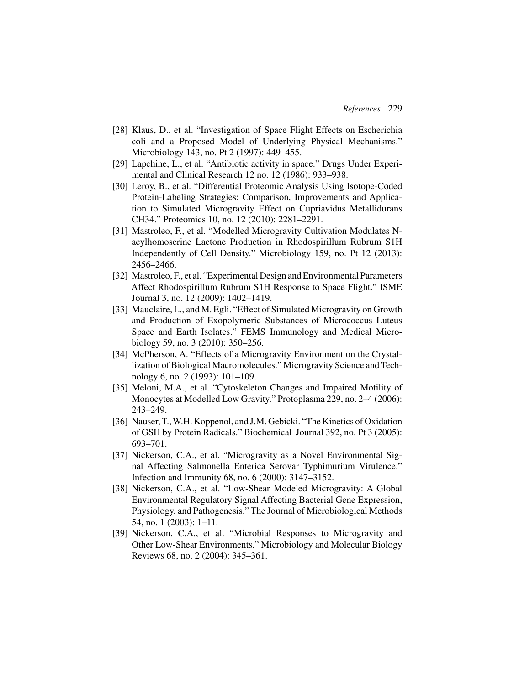- [28] Klaus, D., et al. "Investigation of Space Flight Effects on Escherichia coli and a Proposed Model of Underlying Physical Mechanisms." Microbiology 143, no. Pt 2 (1997): 449–455.
- [29] Lapchine, L., et al. "Antibiotic activity in space." Drugs Under Experimental and Clinical Research 12 no. 12 (1986): 933–938.
- [30] Leroy, B., et al. "Differential Proteomic Analysis Using Isotope-Coded Protein-Labeling Strategies: Comparison, Improvements and Application to Simulated Microgravity Effect on Cupriavidus Metallidurans CH34." Proteomics 10, no. 12 (2010): 2281–2291.
- [31] Mastroleo, F., et al. "Modelled Microgravity Cultivation Modulates Nacylhomoserine Lactone Production in Rhodospirillum Rubrum S1H Independently of Cell Density." Microbiology 159, no. Pt 12 (2013): 2456–2466.
- [32] Mastroleo, F., et al. "Experimental Design and Environmental Parameters Affect Rhodospirillum Rubrum S1H Response to Space Flight." ISME Journal 3, no. 12 (2009): 1402–1419.
- [33] Mauclaire, L., and M. Egli. "Effect of Simulated Microgravity on Growth and Production of Exopolymeric Substances of Micrococcus Luteus Space and Earth Isolates." FEMS Immunology and Medical Microbiology 59, no. 3 (2010): 350–256.
- [34] McPherson, A. "Effects of a Microgravity Environment on the Crystallization of Biological Macromolecules." Microgravity Science and Technology 6, no. 2 (1993): 101–109.
- [35] Meloni, M.A., et al. "Cytoskeleton Changes and Impaired Motility of Monocytes at Modelled Low Gravity." Protoplasma 229, no. 2–4 (2006): 243–249.
- [36] Nauser, T., W.H. Koppenol, and J.M. Gebicki. "The Kinetics of Oxidation of GSH by Protein Radicals." Biochemical Journal 392, no. Pt 3 (2005): 693–701.
- [37] Nickerson, C.A., et al. "Microgravity as a Novel Environmental Signal Affecting Salmonella Enterica Serovar Typhimurium Virulence." Infection and Immunity 68, no. 6 (2000): 3147–3152.
- [38] Nickerson, C.A., et al. "Low-Shear Modeled Microgravity: A Global Environmental Regulatory Signal Affecting Bacterial Gene Expression, Physiology, and Pathogenesis." The Journal of Microbiological Methods 54, no. 1 (2003): 1–11.
- [39] Nickerson, C.A., et al. "Microbial Responses to Microgravity and Other Low-Shear Environments." Microbiology and Molecular Biology Reviews 68, no. 2 (2004): 345–361.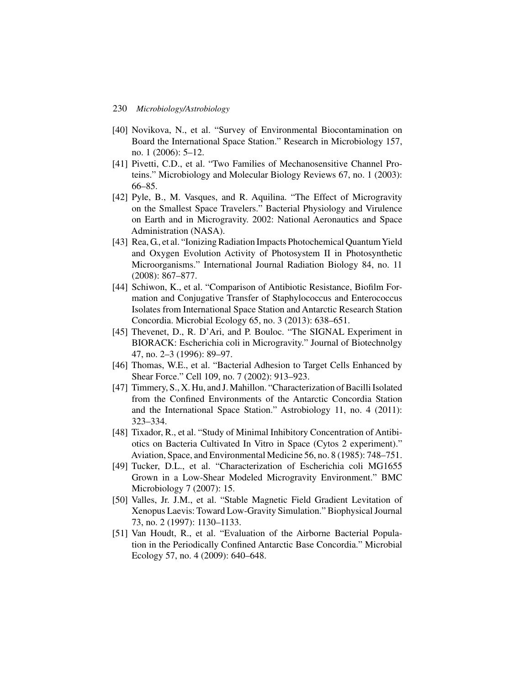- [40] Novikova, N., et al. "Survey of Environmental Biocontamination on Board the International Space Station." Research in Microbiology 157, no. 1 (2006): 5–12.
- [41] Pivetti, C.D., et al. "Two Families of Mechanosensitive Channel Proteins." Microbiology and Molecular Biology Reviews 67, no. 1 (2003): 66–85.
- [42] Pyle, B., M. Vasques, and R. Aquilina. "The Effect of Microgravity on the Smallest Space Travelers." Bacterial Physiology and Virulence on Earth and in Microgravity. 2002: National Aeronautics and Space Administration (NASA).
- [43] Rea, G., et al. "Ionizing Radiation Impacts Photochemical Quantum Yield and Oxygen Evolution Activity of Photosystem II in Photosynthetic Microorganisms." International Journal Radiation Biology 84, no. 11 (2008): 867–877.
- [44] Schiwon, K., et al. "Comparison of Antibiotic Resistance, Biofilm Formation and Conjugative Transfer of Staphylococcus and Enterococcus Isolates from International Space Station and Antarctic Research Station Concordia. Microbial Ecology 65, no. 3 (2013): 638–651.
- [45] Thevenet, D., R. D'Ari, and P. Bouloc. "The SIGNAL Experiment in BIORACK: Escherichia coli in Microgravity." Journal of Biotechnolgy 47, no. 2–3 (1996): 89–97.
- [46] Thomas, W.E., et al. "Bacterial Adhesion to Target Cells Enhanced by Shear Force." Cell 109, no. 7 (2002): 913–923.
- [47] Timmery, S., X. Hu, and J. Mahillon. "Characterization of Bacilli Isolated from the Confined Environments of the Antarctic Concordia Station and the International Space Station." Astrobiology 11, no. 4 (2011): 323–334.
- [48] Tixador, R., et al. "Study of Minimal Inhibitory Concentration of Antibiotics on Bacteria Cultivated In Vitro in Space (Cytos 2 experiment)." Aviation, Space, and Environmental Medicine 56, no. 8 (1985): 748–751.
- [49] Tucker, D.L., et al. "Characterization of Escherichia coli MG1655 Grown in a Low-Shear Modeled Microgravity Environment." BMC Microbiology 7 (2007): 15.
- [50] Valles, Jr. J.M., et al. "Stable Magnetic Field Gradient Levitation of Xenopus Laevis: Toward Low-Gravity Simulation." Biophysical Journal 73, no. 2 (1997): 1130–1133.
- [51] Van Houdt, R., et al. "Evaluation of the Airborne Bacterial Population in the Periodically Confined Antarctic Base Concordia." Microbial Ecology 57, no. 4 (2009): 640–648.